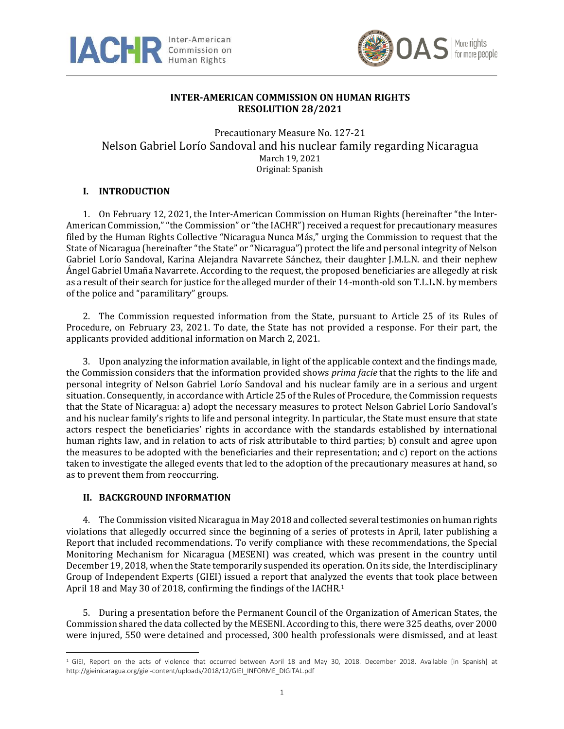



## **INTER-AMERICAN COMMISSION ON HUMAN RIGHTS RESOLUTION 28/2021**

Precautionary Measure No. 127-21 Nelson Gabriel Lorío Sandoval and his nuclear family regarding Nicaragua March 19, 2021 Original: Spanish

# **I. INTRODUCTION**

1. On February 12, 2021, the Inter-American Commission on Human Rights (hereinafter "the Inter-American Commission,""the Commission" or "the IACHR") received a request for precautionary measures filed by the Human Rights Collective "Nicaragua Nunca Más," urging the Commission to request that the State of Nicaragua (hereinafter "the State" or "Nicaragua") protect the life and personal integrity of Nelson Gabriel Lorío Sandoval, Karina Alejandra Navarrete Sánchez, their daughter J.M.L.N. and their nephew Ángel Gabriel Umaña Navarrete. According to the request, the proposed beneficiaries are allegedly at risk as a result of their search for justice for the alleged murder of their 14-month-old son T.L.L.N. by members of the police and "paramilitary" groups.

2. The Commission requested information from the State, pursuant to Article 25 of its Rules of Procedure, on February 23, 2021. To date, the State has not provided a response. For their part, the applicants provided additional information on March 2, 2021.

3. Upon analyzing the information available, in light of the applicable context and the findings made, the Commission considers that the information provided shows *prima facie* that the rights to the life and personal integrity of Nelson Gabriel Lorío Sandoval and his nuclear family are in a serious and urgent situation. Consequently, in accordance with Article 25 of the Rules of Procedure, the Commission requests that the State of Nicaragua: a) adopt the necessary measures to protect Nelson Gabriel Lorío Sandoval's and his nuclear family's rights to life and personal integrity. In particular, the State must ensure that state actors respect the beneficiaries' rights in accordance with the standards established by international human rights law, and in relation to acts of risk attributable to third parties; b) consult and agree upon the measures to be adopted with the beneficiaries and their representation; and c) report on the actions taken to investigate the alleged events that led to the adoption of the precautionary measures at hand, so as to prevent them from reoccurring.

## **II. BACKGROUND INFORMATION**

4. The Commission visited Nicaragua in May 2018 and collected several testimonies on human rights violations that allegedly occurred since the beginning of a series of protests in April, later publishing a Report that included recommendations. To verify compliance with these recommendations, the Special Monitoring Mechanism for Nicaragua (MESENI) was created, which was present in the country until December 19, 2018, when the State temporarily suspended its operation. On its side, the Interdisciplinary Group of Independent Experts (GIEI) issued a report that analyzed the events that took place between April 18 and May 30 of 2018, confirming the findings of the IACHR.<sup>1</sup>

5. During a presentation before the Permanent Council of the Organization of American States, the Commission shared the data collected by the MESENI. According to this, there were 325 deaths, over 2000 were injured, 550 were detained and processed, 300 health professionals were dismissed, and at least

<sup>&</sup>lt;sup>1</sup> GIEI, Report on the acts of violence that occurred between April 18 and May 30, 2018. December 2018. Available [in Spanish] at http://gieinicaragua.org/giei-content/uploads/2018/12/GIEI\_INFORME\_DIGITAL.pdf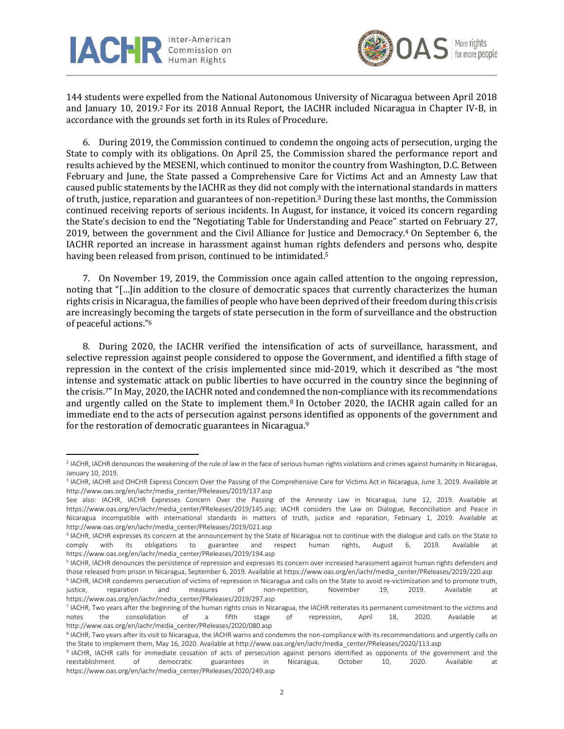



144 students were expelled from the National Autonomous University of Nicaragua between April 2018 and January 10, 2019. <sup>2</sup> For its 2018 Annual Report, the IACHR included Nicaragua in Chapter IV-B, in accordance with the grounds set forth in its Rules of Procedure.

6. During 2019, the Commission continued to condemn the ongoing acts of persecution, urging the State to comply with its obligations. On April 25, the Commission shared the performance report and results achieved by the MESENI, which continued to monitor the country from Washington, D.C. Between February and June, the State passed a Comprehensive Care for Victims Act and an Amnesty Law that caused public statements by the IACHR as they did not comply with the international standards in matters of truth, justice, reparation and guarantees of non-repetition. <sup>3</sup> During these last months, the Commission continued receiving reports of serious incidents. In August, for instance, it voiced its concern regarding the State's decision to end the "Negotiating Table for Understanding and Peace" started on February 27, 2019, between the government and the Civil Alliance for Justice and Democracy. <sup>4</sup> On September 6, the IACHR reported an increase in harassment against human rights defenders and persons who, despite having been released from prison, continued to be intimidated.<sup>5</sup>

7. On November 19, 2019, the Commission once again called attention to the ongoing repression, noting that "[…]in addition to the closure of democratic spaces that currently characterizes the human rights crisis inNicaragua,the families of people who have been deprived of their freedom during this crisis are increasingly becoming the targets of state persecution in the form of surveillance and the obstruction of peaceful actions." 6

8. During 2020, the IACHR verified the intensification of acts of surveillance, harassment, and selective repression against people considered to oppose the Government, and identified a fifth stage of repression in the context of the crisis implemented since mid-2019, which it described as "the most intense and systematic attack on public liberties to have occurred in the country since the beginning of the crisis. <sup>7</sup>"In May, 2020, the IACHR noted and condemned the non-compliance with its recommendations and urgently called on the State to implement them.<sup>8</sup> In October 2020, the IACHR again called for an immediate end to the acts of persecution against persons identified as opponents of the government and for the restoration of democratic guarantees in Nicaragua.<sup>9</sup>

<sup>2</sup> IACHR, IACHR denounces the weakening of the rule of law in the face ofserious human rights violations and crimes against humanity in Nicaragua, January 10, 2019.

<sup>3</sup> IACHR, IACHR and OHCHR Express Concern Over the Passing of the Comprehensive Care for Victims Act in Nicaragua, June 3, 2019. Available at http://www.oas.org/en/iachr/media\_center/PReleases/2019/137.asp

See also: IACHR, IACHR Expresses Concern Over the Passing of the Amnesty Law in Nicaragua, June 12, 2019. Available at https://www.oas.org/en/iachr/media\_center/PReleases/2019/145.asp; IACHR considers the Law on Dialogue, Reconciliation and Peace in Nicaragua incompatible with international standards in matters of truth, justice and reparation, February 1, 2019. Available at http://www.oas.org/en/iachr/media\_center/PReleases/2019/021.asp

<sup>4</sup> IACHR, IACHR expresses its concern at the announcement by the State of Nicaragua not to continue with the dialogue and calls on the State to comply with its obligations to guarantee and respect human rights, August 6, 2019. Available at https://www.oas.org/en/iachr/media\_center/PReleases/2019/194.asp

<sup>5</sup> IACHR, IACHR denounces the persistence of repression and expresses its concern over increased harassment against human rights defenders and those released from prison in Nicaragua, September 6, 2019. Available at https://www.oas.org/en/iachr/media\_center/PReleases/2019/220.asp

<sup>6</sup> IACHR, IACHR condemns persecution of victims of repression in Nicaragua and calls on the State to avoid re-victimization and to promote truth, justice, reparation and measures of non-repetition, November 19, 2019. Available at https://www.oas.org/en/iachr/media\_center/PReleases/2019/297.asp

<sup>7</sup> IACHR, Two years after the beginning of the human rights crisis in Nicaragua, the IACHR reiterates its permanent commitment to the victims and notes the consolidation of a fifth stage of repression, April 18, 2020. Available at http://www.oas.org/en/iachr/media\_center/PReleases/2020/080.asp

<sup>&</sup>lt;sup>8</sup> IACHR, Two years after its visit to Nicaragua, the IACHR warns and condemns the non-compliance with its recommendations and urgently calls on the State to implement them, May 16, 2020. Available at http://www.oas.org/en/iachr/media\_center/PReleases/2020/113.asp

<sup>9</sup> IACHR, IACHR calls for immediate cessation of acts of persecution against persons identified as opponents of the government and the reestablishment of democratic guarantees in Nicaragua, October 10, 2020. Available at https://www.oas.org/en/iachr/media\_center/PReleases/2020/249.asp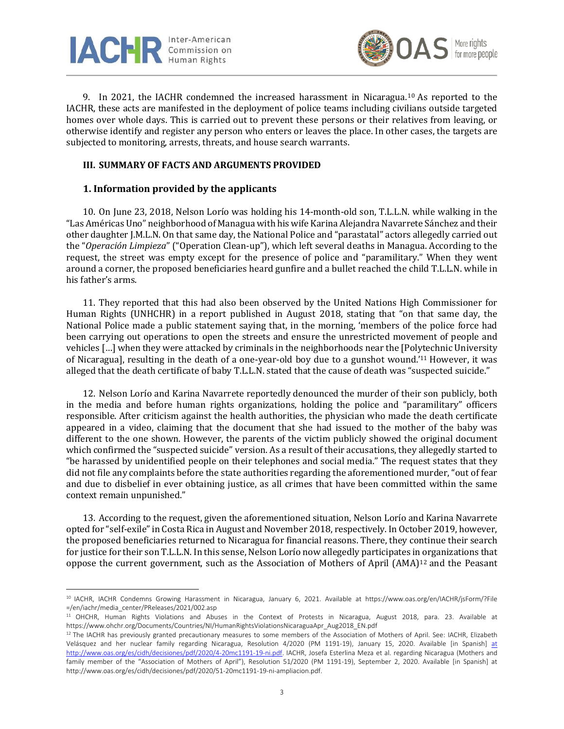



9. In 2021, the IACHR condemned the increased harassment in Nicaragua.<sup>10</sup> As reported to the IACHR, these acts are manifested in the deployment of police teams including civilians outside targeted homes over whole days. This is carried out to prevent these persons or their relatives from leaving, or otherwise identify and register any person who enters or leaves the place. In other cases, the targets are subjected to monitoring, arrests, threats, and house search warrants.

### **III. SUMMARY OF FACTS AND ARGUMENTS PROVIDED**

### **1. Information provided by the applicants**

10. On June 23, 2018, Nelson Lorío was holding his 14-month-old son, T.L.L.N. while walking in the "Las Américas Uno" neighborhood of Managua with his wife Karina Alejandra Navarrete Sánchez and their other daughter J.M.L.N. On that same day, the National Police and "parastatal" actors allegedly carried out the "*Operación Limpieza*" ("Operation Clean-up"), which left several deaths in Managua. According to the request, the street was empty except for the presence of police and "paramilitary." When they went around a corner, the proposed beneficiaries heard gunfire and a bullet reached the child T.L.L.N. while in his father's arms.

11. They reported that this had also been observed by the United Nations High Commissioner for Human Rights (UNHCHR) in a report published in August 2018, stating that "on that same day, the National Police made a public statement saying that, in the morning, 'members of the police force had been carrying out operations to open the streets and ensure the unrestricted movement of people and vehicles […] when they were attacked by criminals in the neighborhoods near the [Polytechnic University of Nicaragua], resulting in the death of a one-year-old boy due to a gunshot wound.' <sup>11</sup> However, it was alleged that the death certificate of baby T.L.L.N. stated that the cause of death was "suspected suicide."

12. Nelson Lorío and Karina Navarrete reportedly denounced the murder of their son publicly, both in the media and before human rights organizations, holding the police and "paramilitary" officers responsible. After criticism against the health authorities, the physician who made the death certificate appeared in a video, claiming that the document that she had issued to the mother of the baby was different to the one shown. However, the parents of the victim publicly showed the original document which confirmed the "suspected suicide" version. As a result of their accusations, they allegedly started to "be harassed by unidentified people on their telephones and social media." The request states that they did not file any complaints before the state authorities regarding the aforementioned murder, "out of fear and due to disbelief in ever obtaining justice, as all crimes that have been committed within the same context remain unpunished."

13. According to the request, given the aforementioned situation, Nelson Lorío and Karina Navarrete opted for "self-exile"in Costa Rica in August and November 2018, respectively. In October 2019, however, the proposed beneficiaries returned to Nicaragua for financial reasons. There, they continue their search for justice for their son T.L.L.N. In this sense, Nelson Lorío now allegedly participates in organizations that oppose the current government, such as the Association of Mothers of April  $(AMA)^{12}$  and the Peasant

<sup>10</sup> IACHR, IACHR Condemns Growing Harassment in Nicaragua, January 6, 2021. Available at https://www.oas.org/en/IACHR/jsForm/?File =/en/iachr/media\_center/PReleases/2021/002.asp

<sup>11</sup> OHCHR, Human Rights Violations and Abuses in the Context of Protests in Nicaragua, August 2018, para. 23. Available at https://www.ohchr.org/Documents/Countries/NI/HumanRightsViolationsNicaraguaApr\_Aug2018\_EN.pdf

<sup>&</sup>lt;sup>12</sup> The IACHR has previously granted precautionary measures to some members of the Association of Mothers of April. See: IACHR, Elizabeth Velásquez and her nuclear family regarding Nicaragua, Resolution 4/2020 (PM 1191-19), January 15, 2020. Available [in Spanish] [at](http://www.oas.org/es/cidh/decisiones/pdf/2020/4-20mc1191-19-ni.pdf) [http://www.oas.org/es/cidh/decisiones/pdf/2020/4-20mc1191-19-ni.pdf.](http://www.oas.org/es/cidh/decisiones/pdf/2020/4-20mc1191-19-ni.pdf) IACHR, Josefa Esterlina Meza et al. regarding Nicaragua (Mothers and family member of the "Association of Mothers of April"), Resolution 51/2020 (PM 1191-19), September 2, 2020. Available [in Spanish] at http://www.oas.org/es/cidh/decisiones/pdf/2020/51-20mc1191-19-ni-ampliacion.pdf.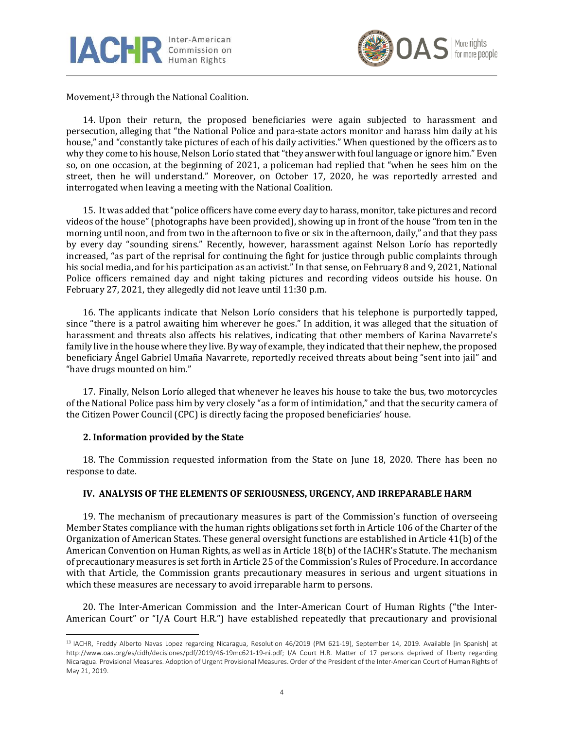



Movement, <sup>13</sup> through the National Coalition.

14. Upon their return, the proposed beneficiaries were again subjected to harassment and persecution, alleging that "the National Police and para-state actors monitor and harass him daily at his house," and "constantly take pictures of each of his daily activities." When questioned by the officers as to why they come to his house, Nelson Lorío stated that "they answer with foul language or ignore him." Even so, on one occasion, at the beginning of 2021, a policeman had replied that "when he sees him on the street, then he will understand." Moreover, on October 17, 2020, he was reportedly arrested and interrogated when leaving a meeting with the National Coalition.

15. It was added that"police officers have come every day to harass, monitor, take pictures and record videos of the house" (photographs have been provided), showing up in front of the house "from ten in the morning until noon, and from two in the afternoon to five or six in the afternoon, daily," and that they pass by every day "sounding sirens." Recently, however, harassment against Nelson Lorío has reportedly increased, "as part of the reprisal for continuing the fight for justice through public complaints through his social media, and for his participation as an activist." In that sense, on February 8 and 9, 2021, National Police officers remained day and night taking pictures and recording videos outside his house. On February 27, 2021, they allegedly did not leave until 11:30 p.m.

16. The applicants indicate that Nelson Lorío considers that his telephone is purportedly tapped, since "there is a patrol awaiting him wherever he goes." In addition, it was alleged that the situation of harassment and threats also affects his relatives, indicating that other members of Karina Navarrete's family live in the house where they live. By way of example, they indicated that their nephew, the proposed beneficiary Ángel Gabriel Umaña Navarrete, reportedly received threats about being "sent into jail" and "have drugs mounted on him."

17. Finally, Nelson Lorío alleged that whenever he leaves his house to take the bus, two motorcycles of the National Police pass him by very closely "as a form of intimidation," and that the security camera of the Citizen Power Council (CPC) is directly facing the proposed beneficiaries' house.

### **2. Information provided by the State**

18. The Commission requested information from the State on June 18, 2020. There has been no response to date.

### **IV. ANALYSIS OF THE ELEMENTS OF SERIOUSNESS, URGENCY, AND IRREPARABLE HARM**

19. The mechanism of precautionary measures is part of the Commission's function of overseeing Member States compliance with the human rights obligations set forth in Article 106 of the Charter of the Organization of American States. These general oversight functions are established in Article 41(b) of the American Convention on Human Rights, as well as in Article 18(b) of the IACHR's Statute. The mechanism of precautionary measures is set forth in Article 25 of the Commission's Rules of Procedure. In accordance with that Article, the Commission grants precautionary measures in serious and urgent situations in which these measures are necessary to avoid irreparable harm to persons.

20. The Inter-American Commission and the Inter-American Court of Human Rights ("the Inter-American Court" or "I/A Court H.R.") have established repeatedly that precautionary and provisional

<sup>13</sup> IACHR, Freddy Alberto Navas Lopez regarding Nicaragua, Resolution 46/2019 (PM 621-19), September 14, 2019. Available [in Spanish] at http://www.oas.org/es/cidh/decisiones/pdf/2019/46-19mc621-19-ni.pdf; I/A Court H.R. Matter of 17 persons deprived of liberty regarding Nicaragua. Provisional Measures. Adoption of Urgent Provisional Measures. Order of the President of the Inter-American Court of Human Rights of May 21, 2019.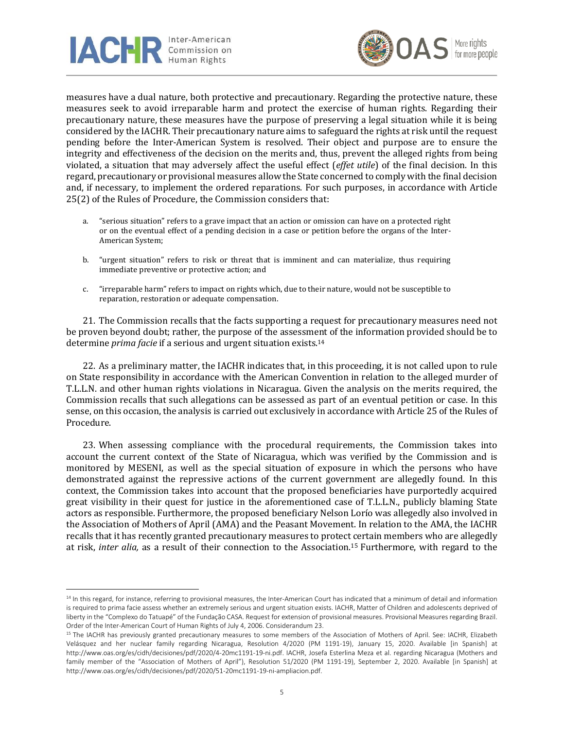



measures have a dual nature, both protective and precautionary. Regarding the protective nature, these measures seek to avoid irreparable harm and protect the exercise of human rights. Regarding their precautionary nature, these measures have the purpose of preserving a legal situation while it is being considered by the IACHR. Their precautionary nature aims to safeguard the rights at risk until the request pending before the Inter-American System is resolved. Their object and purpose are to ensure the integrity and effectiveness of the decision on the merits and, thus, prevent the alleged rights from being violated, a situation that may adversely affect the useful effect (*effet utile*) of the final decision. In this regard, precautionary or provisional measures allow the State concerned to comply with the final decision and, if necessary, to implement the ordered reparations. For such purposes, in accordance with Article 25(2) of the Rules of Procedure, the Commission considers that:

- a. "serious situation" refers to a grave impact that an action or omission can have on a protected right or on the eventual effect of a pending decision in a case or petition before the organs of the Inter-American System;
- b. "urgent situation" refers to risk or threat that is imminent and can materialize, thus requiring immediate preventive or protective action; and
- c. "irreparable harm" refers to impact on rights which, due to their nature, would not be susceptible to reparation, restoration or adequate compensation.

21. The Commission recalls that the facts supporting a request for precautionary measures need not be proven beyond doubt; rather, the purpose of the assessment of the information provided should be to determine *prima facie* if a serious and urgent situation exists. 14

22. As a preliminary matter, the IACHR indicates that, in this proceeding, it is not called upon to rule on State responsibility in accordance with the American Convention in relation to the alleged murder of T.L.L.N. and other human rights violations in Nicaragua. Given the analysis on the merits required, the Commission recalls that such allegations can be assessed as part of an eventual petition or case. In this sense, on this occasion, the analysis is carried out exclusively in accordance with Article 25 of the Rules of Procedure.

23. When assessing compliance with the procedural requirements, the Commission takes into account the current context of the State of Nicaragua, which was verified by the Commission and is monitored by MESENI, as well as the special situation of exposure in which the persons who have demonstrated against the repressive actions of the current government are allegedly found. In this context, the Commission takes into account that the proposed beneficiaries have purportedly acquired great visibility in their quest for justice in the aforementioned case of T.L.L.N., publicly blaming State actors as responsible. Furthermore, the proposed beneficiary Nelson Lorío was allegedly also involved in the Association of Mothers of April (AMA) and the Peasant Movement. In relation to the AMA, the IACHR recalls that it has recently granted precautionary measures to protect certain members who are allegedly at risk, *inter alia,* as a result of their connection to the Association. <sup>15</sup> Furthermore, with regard to the

<sup>&</sup>lt;sup>14</sup> In this regard, for instance, referring to provisional measures, the Inter-American Court has indicated that a minimum of detail and information is required to prima facie assess whether an extremely serious and urgent situation exists. IACHR, Matter of Children and adolescents deprived of liberty in the "Complexo do Tatuapé" of the Fundação CASA. Request for extension of provisional measures. Provisional Measures regarding Brazil. Order of the Inter-American Court of Human Rights of July 4, 2006. Considerandum 23.

<sup>&</sup>lt;sup>15</sup> The IACHR has previously granted precautionary measures to some members of the Association of Mothers of April. See: IACHR, Elizabeth Velásquez and her nuclear family regarding Nicaragua, Resolution 4/2020 (PM 1191-19), January 15, 2020. Available [in Spanish] at http://www.oas.org/es/cidh/decisiones/pdf/2020/4-20mc1191-19-ni.pdf. IACHR, Josefa Esterlina Meza et al. regarding Nicaragua (Mothers and family member of the "Association of Mothers of April"), Resolution 51/2020 (PM 1191-19), September 2, 2020. Available [in Spanish] at http://www.oas.org/es/cidh/decisiones/pdf/2020/51-20mc1191-19-ni-ampliacion.pdf.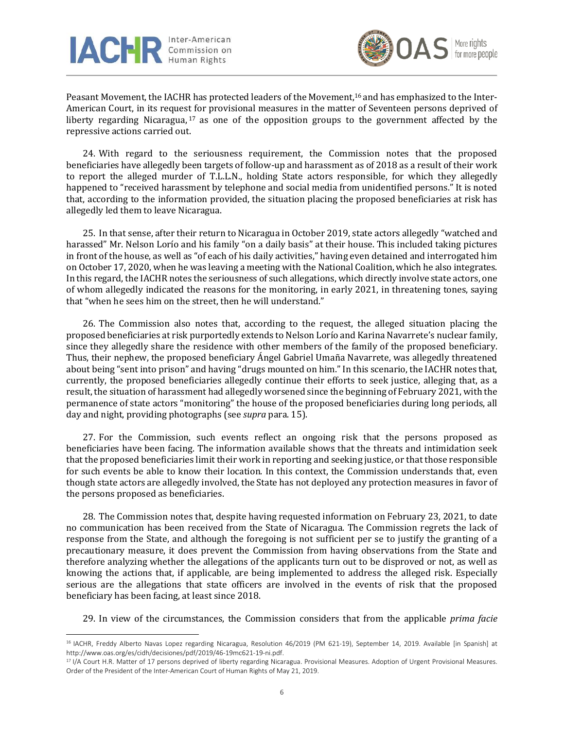



Peasant Movement, the IACHR has protected leaders of the Movement, <sup>16</sup> and has emphasized to the Inter-American Court, in its request for provisional measures in the matter of Seventeen persons deprived of liberty regarding Nicaragua,<sup>17</sup> as one of the opposition groups to the government affected by the repressive actions carried out.

24. With regard to the seriousness requirement, the Commission notes that the proposed beneficiaries have allegedly been targets of follow-up and harassment as of 2018 as a result of their work to report the alleged murder of T.L.L.N., holding State actors responsible, for which they allegedly happened to "received harassment by telephone and social media from unidentified persons." It is noted that, according to the information provided, the situation placing the proposed beneficiaries at risk has allegedly led them to leave Nicaragua.

25. In that sense, after their return to Nicaragua in October 2019, state actors allegedly "watched and harassed" Mr. Nelson Lorío and his family "on a daily basis" at their house. This included taking pictures in front of the house, as well as "of each of his daily activities," having even detained and interrogated him on October 17, 2020, when he was leaving a meeting with the National Coalition, which he also integrates. In this regard, the IACHR notes the seriousness of such allegations, which directly involve state actors, one of whom allegedly indicated the reasons for the monitoring, in early 2021, in threatening tones, saying that "when he sees him on the street, then he will understand."

26. The Commission also notes that, according to the request, the alleged situation placing the proposed beneficiaries at risk purportedly extends to Nelson Lorío and Karina Navarrete's nuclear family, since they allegedly share the residence with other members of the family of the proposed beneficiary. Thus, their nephew, the proposed beneficiary Ángel Gabriel Umaña Navarrete, was allegedly threatened about being "sent into prison" and having "drugs mounted on him." In this scenario, the IACHR notes that, currently, the proposed beneficiaries allegedly continue their efforts to seek justice, alleging that, as a result, the situation of harassment had allegedly worsened since the beginning of February 2021, with the permanence of state actors "monitoring" the house of the proposed beneficiaries during long periods, all day and night, providing photographs (see *supra* para. 15).

27. For the Commission, such events reflect an ongoing risk that the persons proposed as beneficiaries have been facing. The information available shows that the threats and intimidation seek that the proposed beneficiaries limit their work in reporting and seeking justice, or that those responsible for such events be able to know their location. In this context, the Commission understands that, even though state actors are allegedly involved, the State has not deployed any protection measures in favor of the persons proposed as beneficiaries.

28. The Commission notes that, despite having requested information on February 23, 2021, to date no communication has been received from the State of Nicaragua. The Commission regrets the lack of response from the State, and although the foregoing is not sufficient per se to justify the granting of a precautionary measure, it does prevent the Commission from having observations from the State and therefore analyzing whether the allegations of the applicants turn out to be disproved or not, as well as knowing the actions that, if applicable, are being implemented to address the alleged risk. Especially serious are the allegations that state officers are involved in the events of risk that the proposed beneficiary has been facing, at least since 2018.

29. In view of the circumstances, the Commission considers that from the applicable *prima facie*

<sup>16</sup> IACHR, Freddy Alberto Navas Lopez regarding Nicaragua, Resolution 46/2019 (PM 621-19), September 14, 2019. Available [in Spanish] at http://www.oas.org/es/cidh/decisiones/pdf/2019/46-19mc621-19-ni.pdf.

<sup>&</sup>lt;sup>17</sup> I/A Court H.R. Matter of 17 persons deprived of liberty regarding Nicaragua. Provisional Measures. Adoption of Urgent Provisional Measures. Order of the President of the Inter-American Court of Human Rights of May 21, 2019.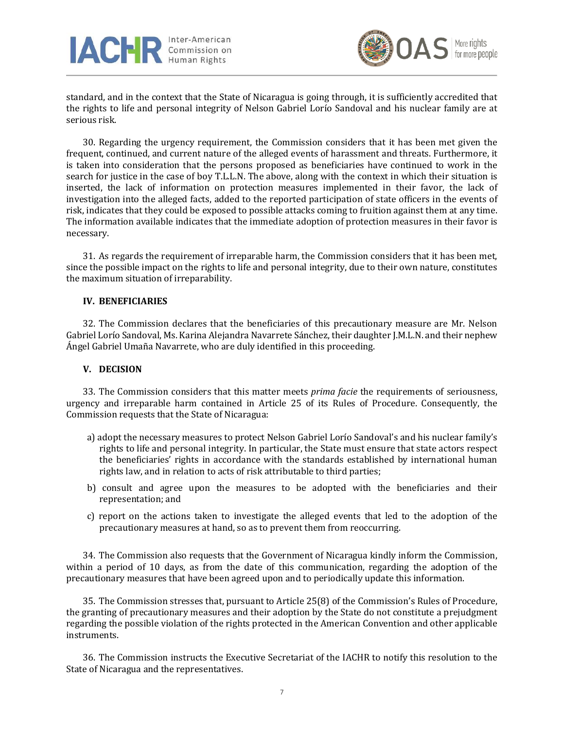



standard, and in the context that the State of Nicaragua is going through, it is sufficiently accredited that the rights to life and personal integrity of Nelson Gabriel Lorío Sandoval and his nuclear family are at serious risk.

30. Regarding the urgency requirement, the Commission considers that it has been met given the frequent, continued, and current nature of the alleged events of harassment and threats. Furthermore, it is taken into consideration that the persons proposed as beneficiaries have continued to work in the search for justice in the case of boy T.L.L.N. The above, along with the context in which their situation is inserted, the lack of information on protection measures implemented in their favor, the lack of investigation into the alleged facts, added to the reported participation of state officers in the events of risk, indicates that they could be exposed to possible attacks coming to fruition against them at any time. The information available indicates that the immediate adoption of protection measures in their favor is necessary.

31. As regards the requirement of irreparable harm, the Commission considers that it has been met, since the possible impact on the rights to life and personal integrity, due to their own nature, constitutes the maximum situation of irreparability.

#### **IV. BENEFICIARIES**

32. The Commission declares that the beneficiaries of this precautionary measure are Mr. Nelson Gabriel Lorío Sandoval, Ms. Karina Alejandra Navarrete Sánchez, their daughter J.M.L.N. and their nephew Ángel Gabriel Umaña Navarrete, who are duly identified in this proceeding.

#### **V. DECISION**

33. The Commission considers that this matter meets *prima facie* the requirements of seriousness, urgency and irreparable harm contained in Article 25 of its Rules of Procedure. Consequently, the Commission requests that the State of Nicaragua:

- a) adopt the necessary measures to protect Nelson Gabriel Lorío Sandoval's and his nuclear family's rights to life and personal integrity. In particular, the State must ensure that state actors respect the beneficiaries' rights in accordance with the standards established by international human rights law, and in relation to acts of risk attributable to third parties;
- b) consult and agree upon the measures to be adopted with the beneficiaries and their representation; and
- c) report on the actions taken to investigate the alleged events that led to the adoption of the precautionary measures at hand, so as to prevent them from reoccurring.

34. The Commission also requests that the Government of Nicaragua kindly inform the Commission, within a period of 10 days, as from the date of this communication, regarding the adoption of the precautionary measures that have been agreed upon and to periodically update this information.

35. The Commission stresses that, pursuant to Article 25(8) of the Commission's Rules of Procedure, the granting of precautionary measures and their adoption by the State do not constitute a prejudgment regarding the possible violation of the rights protected in the American Convention and other applicable instruments.

36. The Commission instructs the Executive Secretariat of the IACHR to notify this resolution to the State of Nicaragua and the representatives.